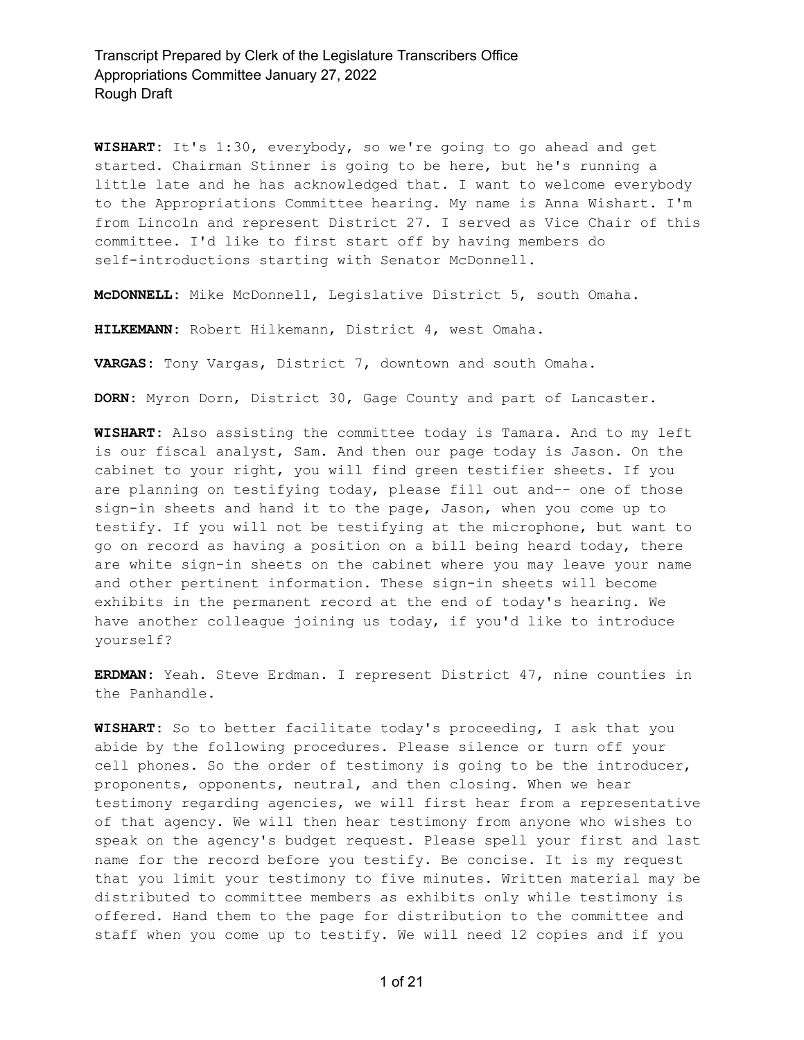**WISHART:** It's 1:30, everybody, so we're going to go ahead and get started. Chairman Stinner is going to be here, but he's running a little late and he has acknowledged that. I want to welcome everybody to the Appropriations Committee hearing. My name is Anna Wishart. I'm from Lincoln and represent District 27. I served as Vice Chair of this committee. I'd like to first start off by having members do self-introductions starting with Senator McDonnell.

**McDONNELL:** Mike McDonnell, Legislative District 5, south Omaha.

**HILKEMANN:** Robert Hilkemann, District 4, west Omaha.

**VARGAS:** Tony Vargas, District 7, downtown and south Omaha.

**DORN:** Myron Dorn, District 30, Gage County and part of Lancaster.

**WISHART:** Also assisting the committee today is Tamara. And to my left is our fiscal analyst, Sam. And then our page today is Jason. On the cabinet to your right, you will find green testifier sheets. If you are planning on testifying today, please fill out and-- one of those sign-in sheets and hand it to the page, Jason, when you come up to testify. If you will not be testifying at the microphone, but want to go on record as having a position on a bill being heard today, there are white sign-in sheets on the cabinet where you may leave your name and other pertinent information. These sign-in sheets will become exhibits in the permanent record at the end of today's hearing. We have another colleague joining us today, if you'd like to introduce yourself?

**ERDMAN:** Yeah. Steve Erdman. I represent District 47, nine counties in the Panhandle.

**WISHART:** So to better facilitate today's proceeding, I ask that you abide by the following procedures. Please silence or turn off your cell phones. So the order of testimony is going to be the introducer, proponents, opponents, neutral, and then closing. When we hear testimony regarding agencies, we will first hear from a representative of that agency. We will then hear testimony from anyone who wishes to speak on the agency's budget request. Please spell your first and last name for the record before you testify. Be concise. It is my request that you limit your testimony to five minutes. Written material may be distributed to committee members as exhibits only while testimony is offered. Hand them to the page for distribution to the committee and staff when you come up to testify. We will need 12 copies and if you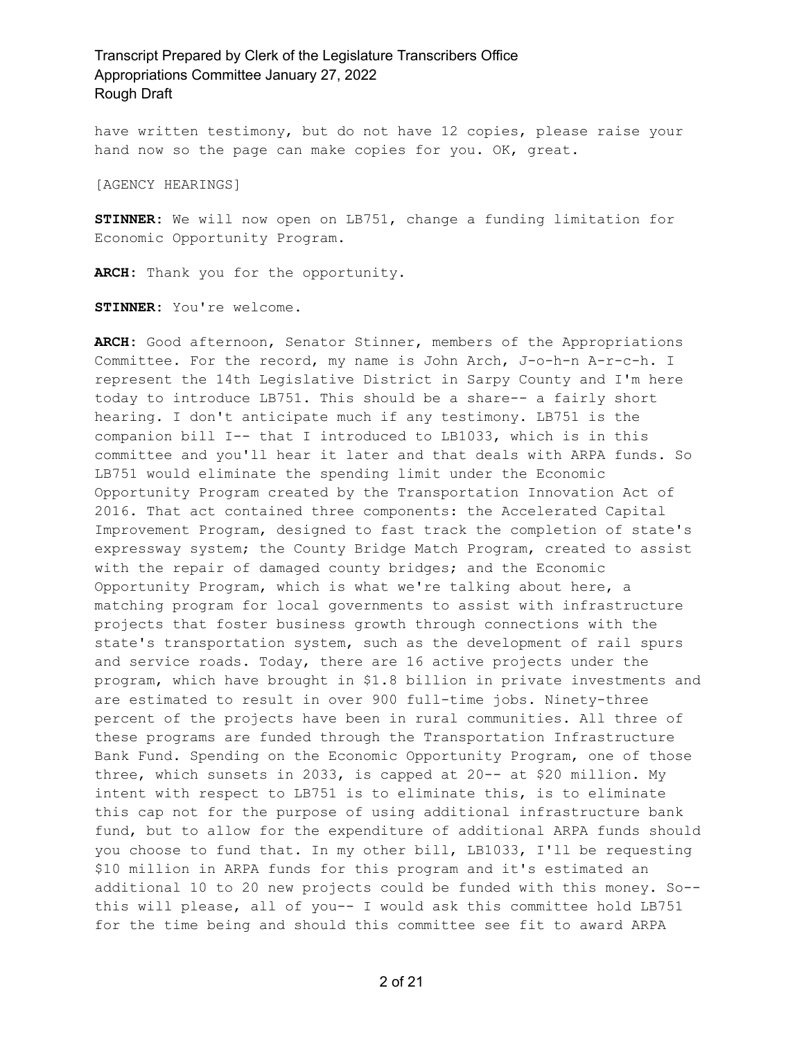have written testimony, but do not have 12 copies, please raise your hand now so the page can make copies for you. OK, great.

[AGENCY HEARINGS]

**STINNER:** We will now open on LB751, change a funding limitation for Economic Opportunity Program.

**ARCH:** Thank you for the opportunity.

**STINNER:** You're welcome.

**ARCH:** Good afternoon, Senator Stinner, members of the Appropriations Committee. For the record, my name is John Arch, J-o-h-n A-r-c-h. I represent the 14th Legislative District in Sarpy County and I'm here today to introduce LB751. This should be a share-- a fairly short hearing. I don't anticipate much if any testimony. LB751 is the companion bill I-- that I introduced to LB1033, which is in this committee and you'll hear it later and that deals with ARPA funds. So LB751 would eliminate the spending limit under the Economic Opportunity Program created by the Transportation Innovation Act of 2016. That act contained three components: the Accelerated Capital Improvement Program, designed to fast track the completion of state's expressway system; the County Bridge Match Program, created to assist with the repair of damaged county bridges; and the Economic Opportunity Program, which is what we're talking about here, a matching program for local governments to assist with infrastructure projects that foster business growth through connections with the state's transportation system, such as the development of rail spurs and service roads. Today, there are 16 active projects under the program, which have brought in \$1.8 billion in private investments and are estimated to result in over 900 full-time jobs. Ninety-three percent of the projects have been in rural communities. All three of these programs are funded through the Transportation Infrastructure Bank Fund. Spending on the Economic Opportunity Program, one of those three, which sunsets in 2033, is capped at 20-- at \$20 million. My intent with respect to LB751 is to eliminate this, is to eliminate this cap not for the purpose of using additional infrastructure bank fund, but to allow for the expenditure of additional ARPA funds should you choose to fund that. In my other bill, LB1033, I'll be requesting \$10 million in ARPA funds for this program and it's estimated an additional 10 to 20 new projects could be funded with this money. So- this will please, all of you-- I would ask this committee hold LB751 for the time being and should this committee see fit to award ARPA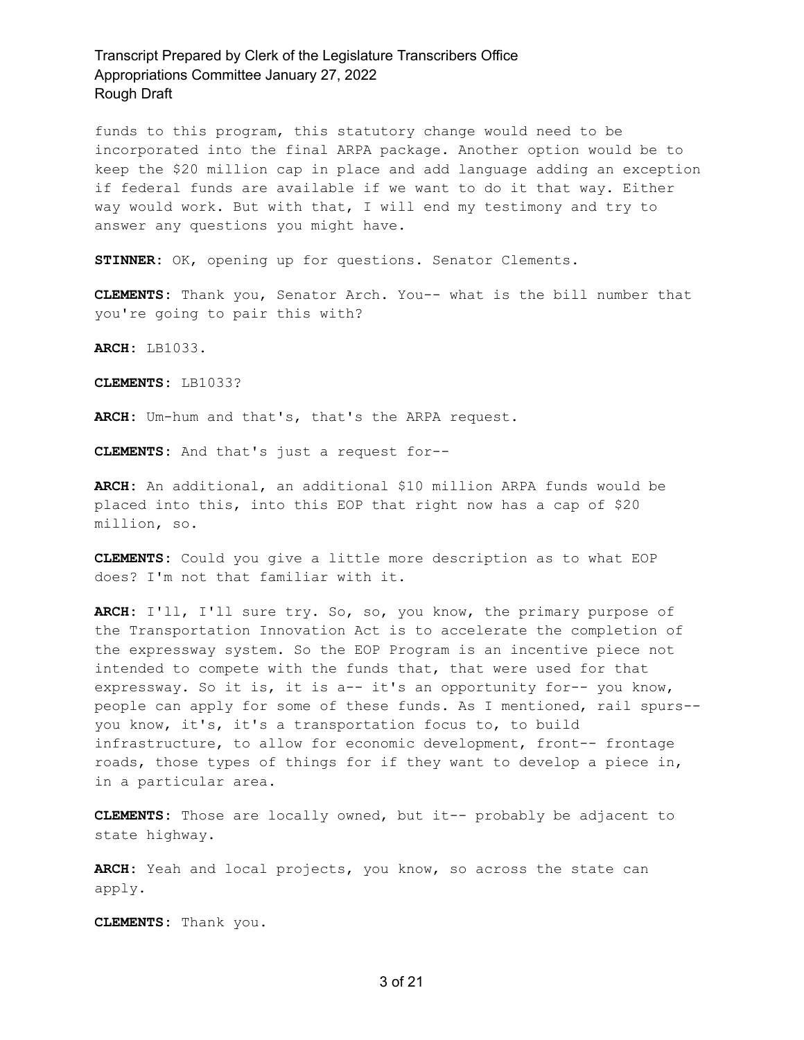funds to this program, this statutory change would need to be incorporated into the final ARPA package. Another option would be to keep the \$20 million cap in place and add language adding an exception if federal funds are available if we want to do it that way. Either way would work. But with that, I will end my testimony and try to answer any questions you might have.

**STINNER:** OK, opening up for questions. Senator Clements.

**CLEMENTS:** Thank you, Senator Arch. You-- what is the bill number that you're going to pair this with?

**ARCH:** LB1033.

**CLEMENTS:** LB1033?

**ARCH:** Um-hum and that's, that's the ARPA request.

**CLEMENTS:** And that's just a request for--

**ARCH:** An additional, an additional \$10 million ARPA funds would be placed into this, into this EOP that right now has a cap of \$20 million, so.

**CLEMENTS:** Could you give a little more description as to what EOP does? I'm not that familiar with it.

**ARCH:** I'll, I'll sure try. So, so, you know, the primary purpose of the Transportation Innovation Act is to accelerate the completion of the expressway system. So the EOP Program is an incentive piece not intended to compete with the funds that, that were used for that expressway. So it is, it is a-- it's an opportunity for-- you know, people can apply for some of these funds. As I mentioned, rail spurs- you know, it's, it's a transportation focus to, to build infrastructure, to allow for economic development, front-- frontage roads, those types of things for if they want to develop a piece in, in a particular area.

**CLEMENTS:** Those are locally owned, but it-- probably be adjacent to state highway.

**ARCH:** Yeah and local projects, you know, so across the state can apply.

**CLEMENTS:** Thank you.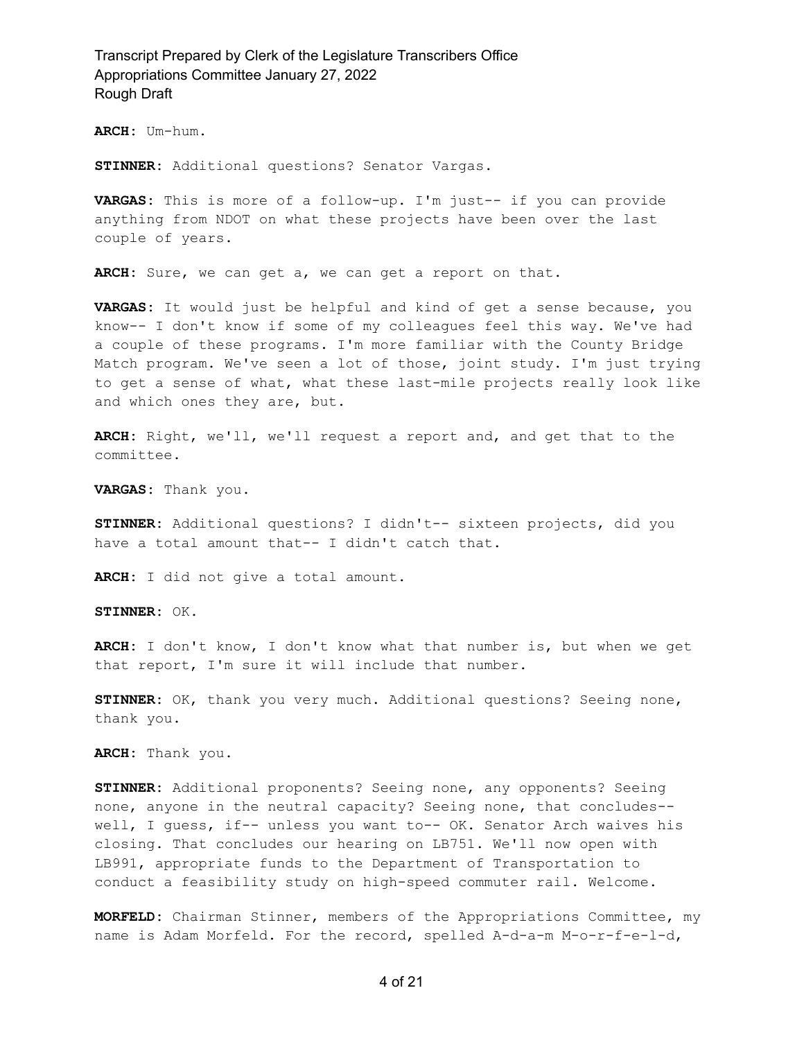**ARCH:** Um-hum.

**STINNER:** Additional questions? Senator Vargas.

**VARGAS:** This is more of a follow-up. I'm just-- if you can provide anything from NDOT on what these projects have been over the last couple of years.

**ARCH:** Sure, we can get a, we can get a report on that.

**VARGAS:** It would just be helpful and kind of get a sense because, you know-- I don't know if some of my colleagues feel this way. We've had a couple of these programs. I'm more familiar with the County Bridge Match program. We've seen a lot of those, joint study. I'm just trying to get a sense of what, what these last-mile projects really look like and which ones they are, but.

**ARCH:** Right, we'll, we'll request a report and, and get that to the committee.

**VARGAS:** Thank you.

**STINNER:** Additional questions? I didn't-- sixteen projects, did you have a total amount that-- I didn't catch that.

**ARCH:** I did not give a total amount.

**STINNER:** OK.

**ARCH:** I don't know, I don't know what that number is, but when we get that report, I'm sure it will include that number.

**STINNER:** OK, thank you very much. Additional questions? Seeing none, thank you.

**ARCH:** Thank you.

**STINNER:** Additional proponents? Seeing none, any opponents? Seeing none, anyone in the neutral capacity? Seeing none, that concludes- well, I guess, if-- unless you want to-- OK. Senator Arch waives his closing. That concludes our hearing on LB751. We'll now open with LB991, appropriate funds to the Department of Transportation to conduct a feasibility study on high-speed commuter rail. Welcome.

**MORFELD:** Chairman Stinner, members of the Appropriations Committee, my name is Adam Morfeld. For the record, spelled A-d-a-m M-o-r-f-e-l-d,

4 of 21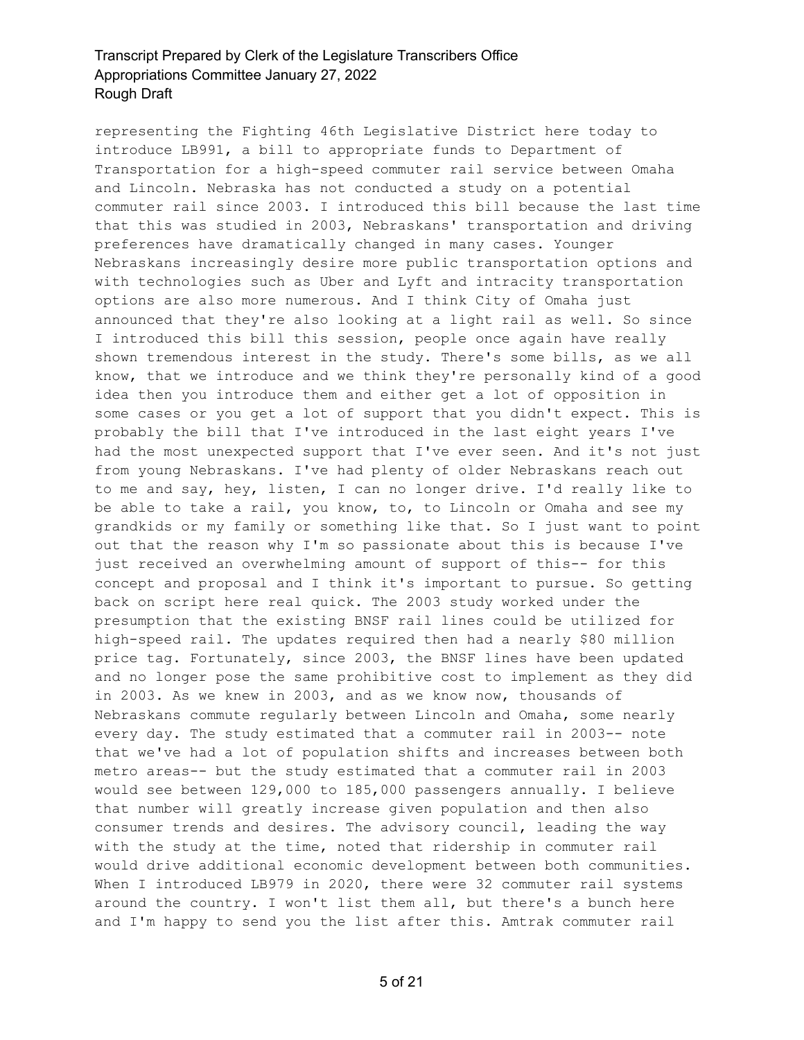representing the Fighting 46th Legislative District here today to introduce LB991, a bill to appropriate funds to Department of Transportation for a high-speed commuter rail service between Omaha and Lincoln. Nebraska has not conducted a study on a potential commuter rail since 2003. I introduced this bill because the last time that this was studied in 2003, Nebraskans' transportation and driving preferences have dramatically changed in many cases. Younger Nebraskans increasingly desire more public transportation options and with technologies such as Uber and Lyft and intracity transportation options are also more numerous. And I think City of Omaha just announced that they're also looking at a light rail as well. So since I introduced this bill this session, people once again have really shown tremendous interest in the study. There's some bills, as we all know, that we introduce and we think they're personally kind of a good idea then you introduce them and either get a lot of opposition in some cases or you get a lot of support that you didn't expect. This is probably the bill that I've introduced in the last eight years I've had the most unexpected support that I've ever seen. And it's not just from young Nebraskans. I've had plenty of older Nebraskans reach out to me and say, hey, listen, I can no longer drive. I'd really like to be able to take a rail, you know, to, to Lincoln or Omaha and see my grandkids or my family or something like that. So I just want to point out that the reason why I'm so passionate about this is because I've just received an overwhelming amount of support of this-- for this concept and proposal and I think it's important to pursue. So getting back on script here real quick. The 2003 study worked under the presumption that the existing BNSF rail lines could be utilized for high-speed rail. The updates required then had a nearly \$80 million price tag. Fortunately, since 2003, the BNSF lines have been updated and no longer pose the same prohibitive cost to implement as they did in 2003. As we knew in 2003, and as we know now, thousands of Nebraskans commute regularly between Lincoln and Omaha, some nearly every day. The study estimated that a commuter rail in 2003-- note that we've had a lot of population shifts and increases between both metro areas-- but the study estimated that a commuter rail in 2003 would see between 129,000 to 185,000 passengers annually. I believe that number will greatly increase given population and then also consumer trends and desires. The advisory council, leading the way with the study at the time, noted that ridership in commuter rail would drive additional economic development between both communities. When I introduced LB979 in 2020, there were 32 commuter rail systems around the country. I won't list them all, but there's a bunch here and I'm happy to send you the list after this. Amtrak commuter rail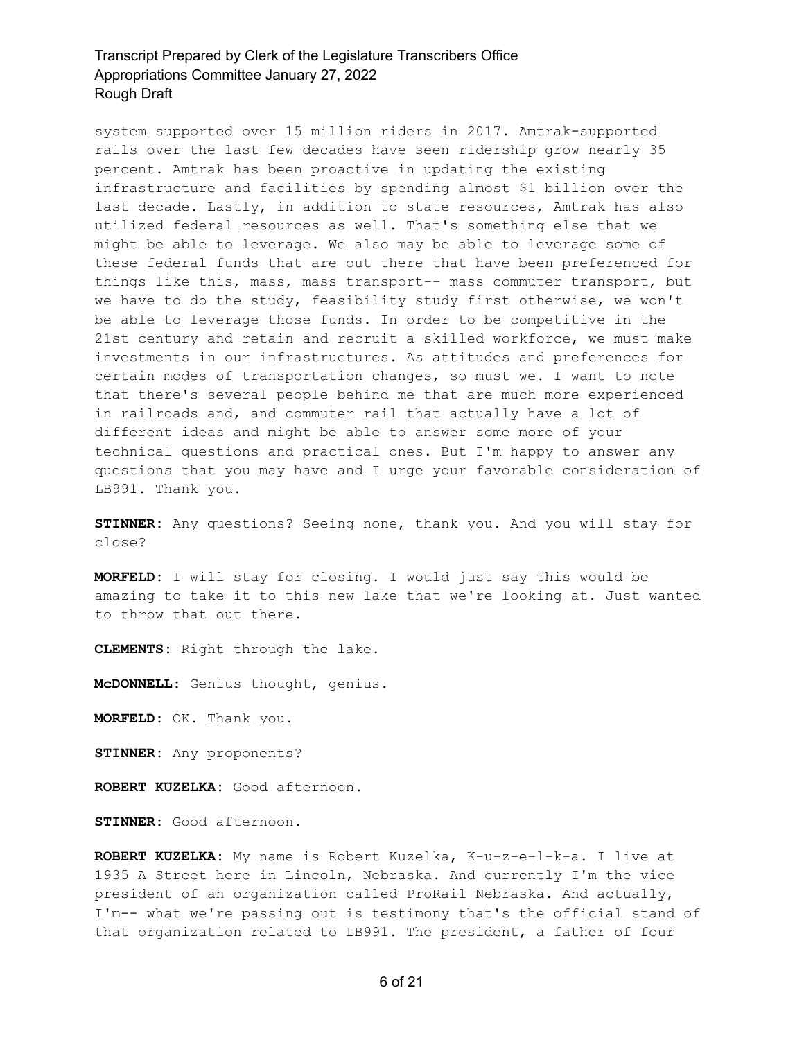system supported over 15 million riders in 2017. Amtrak-supported rails over the last few decades have seen ridership grow nearly 35 percent. Amtrak has been proactive in updating the existing infrastructure and facilities by spending almost \$1 billion over the last decade. Lastly, in addition to state resources, Amtrak has also utilized federal resources as well. That's something else that we might be able to leverage. We also may be able to leverage some of these federal funds that are out there that have been preferenced for things like this, mass, mass transport-- mass commuter transport, but we have to do the study, feasibility study first otherwise, we won't be able to leverage those funds. In order to be competitive in the 21st century and retain and recruit a skilled workforce, we must make investments in our infrastructures. As attitudes and preferences for certain modes of transportation changes, so must we. I want to note that there's several people behind me that are much more experienced in railroads and, and commuter rail that actually have a lot of different ideas and might be able to answer some more of your technical questions and practical ones. But I'm happy to answer any questions that you may have and I urge your favorable consideration of LB991. Thank you.

**STINNER:** Any questions? Seeing none, thank you. And you will stay for close?

**MORFELD:** I will stay for closing. I would just say this would be amazing to take it to this new lake that we're looking at. Just wanted to throw that out there.

**CLEMENTS:** Right through the lake.

**McDONNELL:** Genius thought, genius.

**MORFELD:** OK. Thank you.

**STINNER:** Any proponents?

**ROBERT KUZELKA:** Good afternoon.

**STINNER:** Good afternoon.

**ROBERT KUZELKA:** My name is Robert Kuzelka, K-u-z-e-l-k-a. I live at 1935 A Street here in Lincoln, Nebraska. And currently I'm the vice president of an organization called ProRail Nebraska. And actually, I'm-- what we're passing out is testimony that's the official stand of that organization related to LB991. The president, a father of four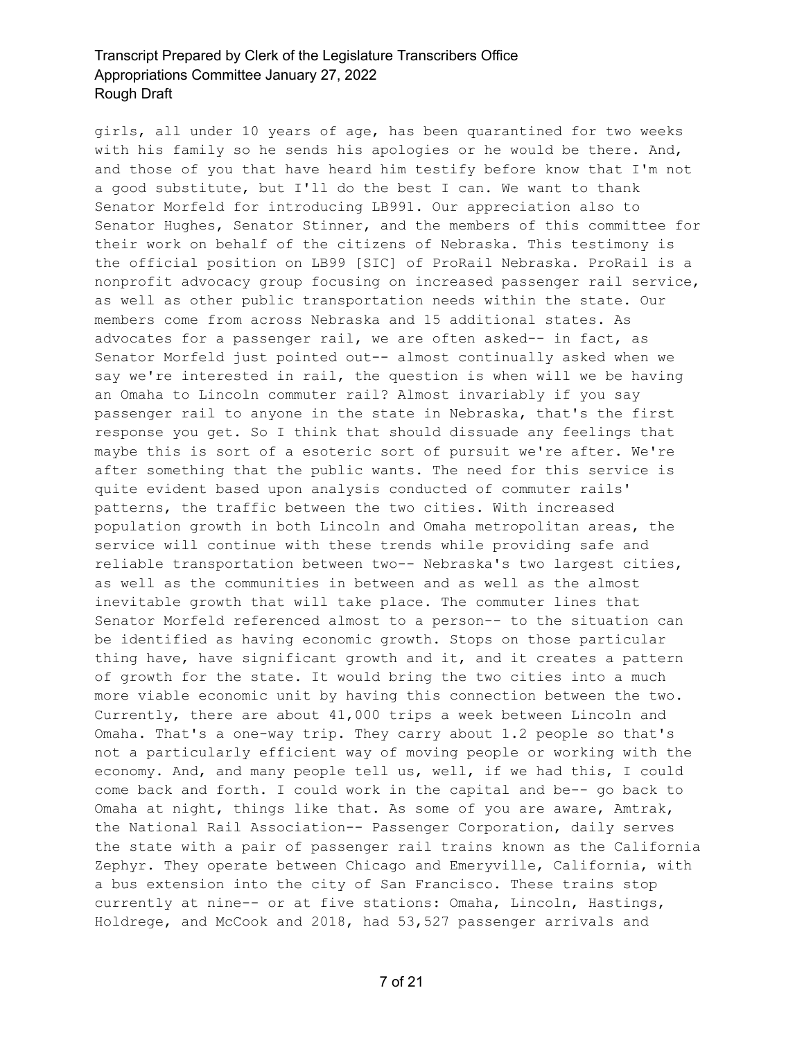girls, all under 10 years of age, has been quarantined for two weeks with his family so he sends his apologies or he would be there. And, and those of you that have heard him testify before know that I'm not a good substitute, but I'll do the best I can. We want to thank Senator Morfeld for introducing LB991. Our appreciation also to Senator Hughes, Senator Stinner, and the members of this committee for their work on behalf of the citizens of Nebraska. This testimony is the official position on LB99 [SIC] of ProRail Nebraska. ProRail is a nonprofit advocacy group focusing on increased passenger rail service, as well as other public transportation needs within the state. Our members come from across Nebraska and 15 additional states. As advocates for a passenger rail, we are often asked-- in fact, as Senator Morfeld just pointed out-- almost continually asked when we say we're interested in rail, the question is when will we be having an Omaha to Lincoln commuter rail? Almost invariably if you say passenger rail to anyone in the state in Nebraska, that's the first response you get. So I think that should dissuade any feelings that maybe this is sort of a esoteric sort of pursuit we're after. We're after something that the public wants. The need for this service is quite evident based upon analysis conducted of commuter rails' patterns, the traffic between the two cities. With increased population growth in both Lincoln and Omaha metropolitan areas, the service will continue with these trends while providing safe and reliable transportation between two-- Nebraska's two largest cities, as well as the communities in between and as well as the almost inevitable growth that will take place. The commuter lines that Senator Morfeld referenced almost to a person-- to the situation can be identified as having economic growth. Stops on those particular thing have, have significant growth and it, and it creates a pattern of growth for the state. It would bring the two cities into a much more viable economic unit by having this connection between the two. Currently, there are about 41,000 trips a week between Lincoln and Omaha. That's a one-way trip. They carry about 1.2 people so that's not a particularly efficient way of moving people or working with the economy. And, and many people tell us, well, if we had this, I could come back and forth. I could work in the capital and be-- go back to Omaha at night, things like that. As some of you are aware, Amtrak, the National Rail Association-- Passenger Corporation, daily serves the state with a pair of passenger rail trains known as the California Zephyr. They operate between Chicago and Emeryville, California, with a bus extension into the city of San Francisco. These trains stop currently at nine-- or at five stations: Omaha, Lincoln, Hastings, Holdrege, and McCook and 2018, had 53,527 passenger arrivals and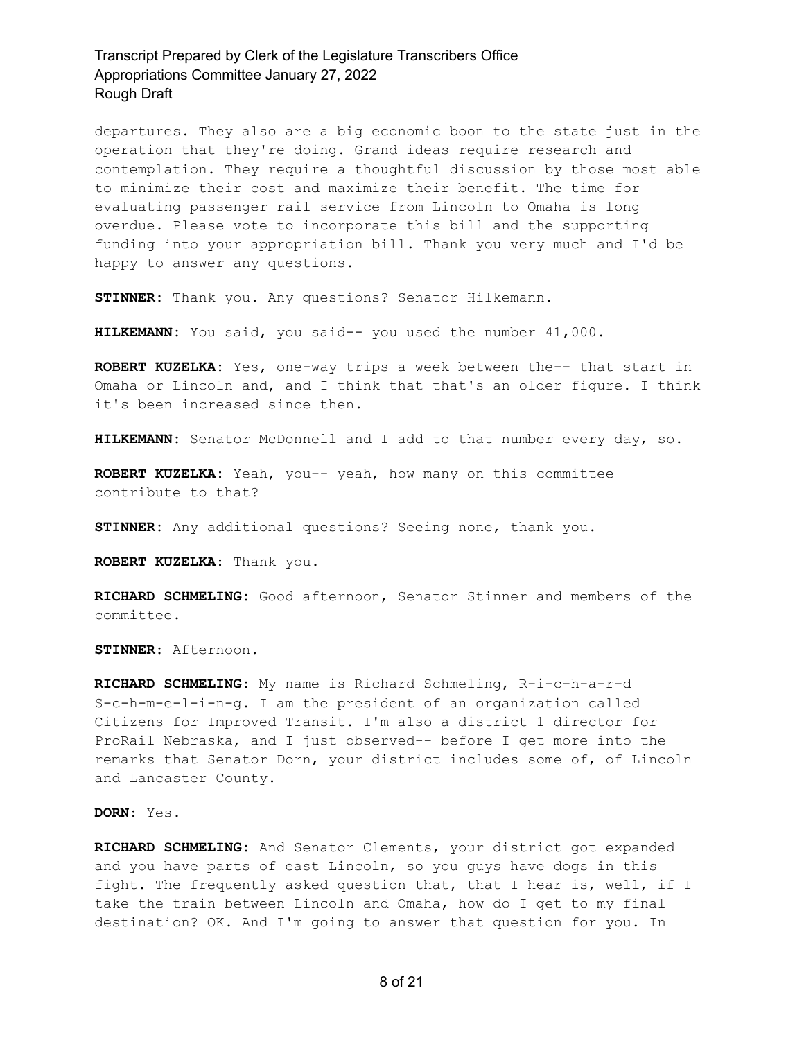departures. They also are a big economic boon to the state just in the operation that they're doing. Grand ideas require research and contemplation. They require a thoughtful discussion by those most able to minimize their cost and maximize their benefit. The time for evaluating passenger rail service from Lincoln to Omaha is long overdue. Please vote to incorporate this bill and the supporting funding into your appropriation bill. Thank you very much and I'd be happy to answer any questions.

**STINNER:** Thank you. Any questions? Senator Hilkemann.

**HILKEMANN:** You said, you said-- you used the number 41,000.

**ROBERT KUZELKA:** Yes, one-way trips a week between the-- that start in Omaha or Lincoln and, and I think that that's an older figure. I think it's been increased since then.

**HILKEMANN:** Senator McDonnell and I add to that number every day, so.

**ROBERT KUZELKA:** Yeah, you-- yeah, how many on this committee contribute to that?

**STINNER:** Any additional questions? Seeing none, thank you.

**ROBERT KUZELKA:** Thank you.

**RICHARD SCHMELING:** Good afternoon, Senator Stinner and members of the committee.

**STINNER:** Afternoon.

**RICHARD SCHMELING:** My name is Richard Schmeling, R-i-c-h-a-r-d S-c-h-m-e-l-i-n-g. I am the president of an organization called Citizens for Improved Transit. I'm also a district 1 director for ProRail Nebraska, and I just observed-- before I get more into the remarks that Senator Dorn, your district includes some of, of Lincoln and Lancaster County.

#### **DORN:** Yes.

**RICHARD SCHMELING:** And Senator Clements, your district got expanded and you have parts of east Lincoln, so you guys have dogs in this fight. The frequently asked question that, that I hear is, well, if I take the train between Lincoln and Omaha, how do I get to my final destination? OK. And I'm going to answer that question for you. In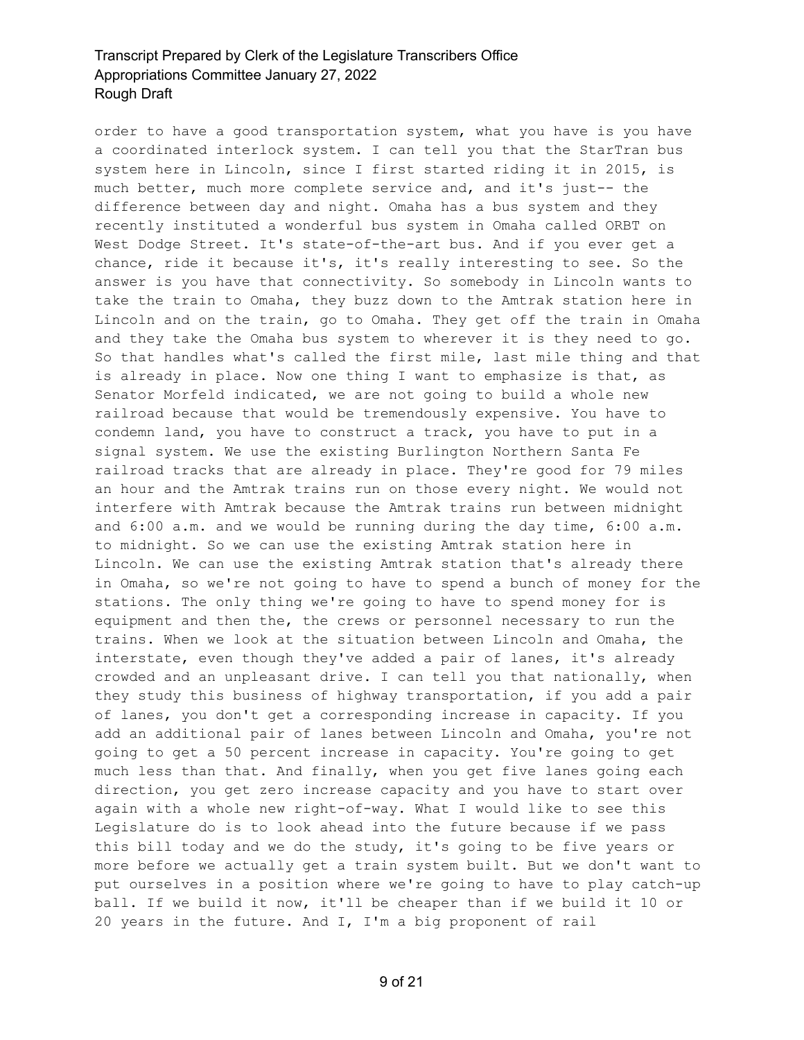order to have a good transportation system, what you have is you have a coordinated interlock system. I can tell you that the StarTran bus system here in Lincoln, since I first started riding it in 2015, is much better, much more complete service and, and it's just-- the difference between day and night. Omaha has a bus system and they recently instituted a wonderful bus system in Omaha called ORBT on West Dodge Street. It's state-of-the-art bus. And if you ever get a chance, ride it because it's, it's really interesting to see. So the answer is you have that connectivity. So somebody in Lincoln wants to take the train to Omaha, they buzz down to the Amtrak station here in Lincoln and on the train, go to Omaha. They get off the train in Omaha and they take the Omaha bus system to wherever it is they need to go. So that handles what's called the first mile, last mile thing and that is already in place. Now one thing I want to emphasize is that, as Senator Morfeld indicated, we are not going to build a whole new railroad because that would be tremendously expensive. You have to condemn land, you have to construct a track, you have to put in a signal system. We use the existing Burlington Northern Santa Fe railroad tracks that are already in place. They're good for 79 miles an hour and the Amtrak trains run on those every night. We would not interfere with Amtrak because the Amtrak trains run between midnight and 6:00 a.m. and we would be running during the day time, 6:00 a.m. to midnight. So we can use the existing Amtrak station here in Lincoln. We can use the existing Amtrak station that's already there in Omaha, so we're not going to have to spend a bunch of money for the stations. The only thing we're going to have to spend money for is equipment and then the, the crews or personnel necessary to run the trains. When we look at the situation between Lincoln and Omaha, the interstate, even though they've added a pair of lanes, it's already crowded and an unpleasant drive. I can tell you that nationally, when they study this business of highway transportation, if you add a pair of lanes, you don't get a corresponding increase in capacity. If you add an additional pair of lanes between Lincoln and Omaha, you're not going to get a 50 percent increase in capacity. You're going to get much less than that. And finally, when you get five lanes going each direction, you get zero increase capacity and you have to start over again with a whole new right-of-way. What I would like to see this Legislature do is to look ahead into the future because if we pass this bill today and we do the study, it's going to be five years or more before we actually get a train system built. But we don't want to put ourselves in a position where we're going to have to play catch-up ball. If we build it now, it'll be cheaper than if we build it 10 or 20 years in the future. And I, I'm a big proponent of rail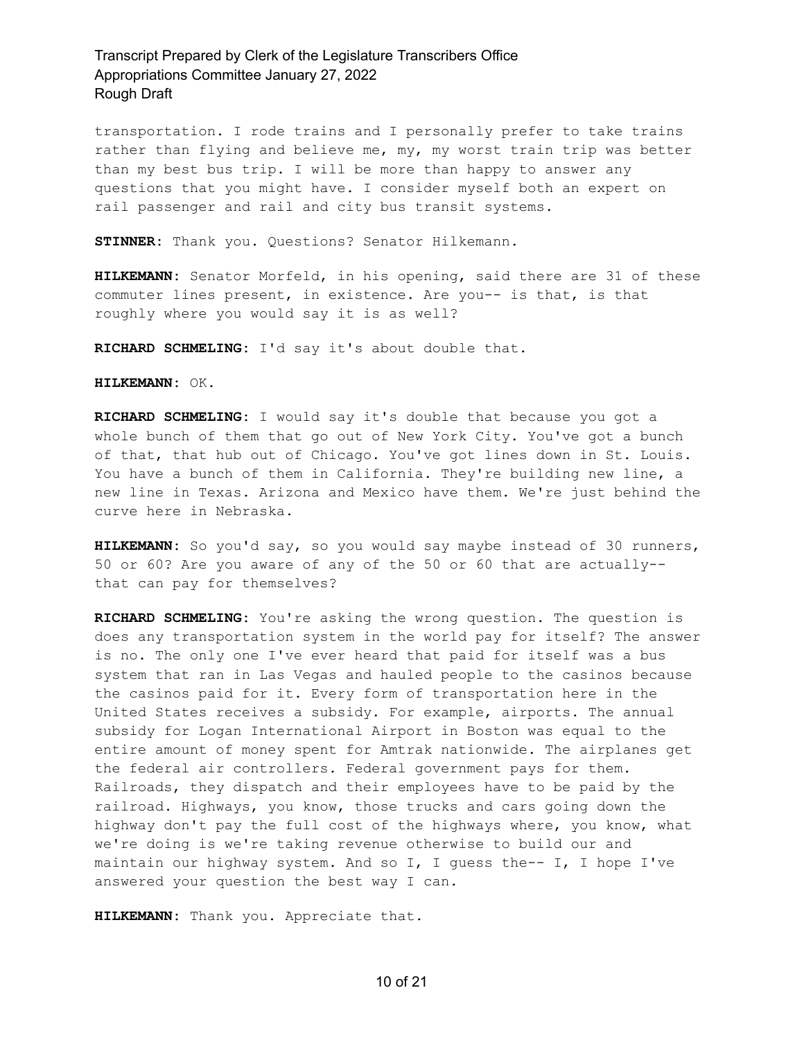transportation. I rode trains and I personally prefer to take trains rather than flying and believe me, my, my worst train trip was better than my best bus trip. I will be more than happy to answer any questions that you might have. I consider myself both an expert on rail passenger and rail and city bus transit systems.

**STINNER:** Thank you. Questions? Senator Hilkemann.

**HILKEMANN:** Senator Morfeld, in his opening, said there are 31 of these commuter lines present, in existence. Are you-- is that, is that roughly where you would say it is as well?

**RICHARD SCHMELING:** I'd say it's about double that.

**HILKEMANN:** OK.

**RICHARD SCHMELING:** I would say it's double that because you got a whole bunch of them that go out of New York City. You've got a bunch of that, that hub out of Chicago. You've got lines down in St. Louis. You have a bunch of them in California. They're building new line, a new line in Texas. Arizona and Mexico have them. We're just behind the curve here in Nebraska.

**HILKEMANN:** So you'd say, so you would say maybe instead of 30 runners, 50 or 60? Are you aware of any of the 50 or 60 that are actually- that can pay for themselves?

**RICHARD SCHMELING:** You're asking the wrong question. The question is does any transportation system in the world pay for itself? The answer is no. The only one I've ever heard that paid for itself was a bus system that ran in Las Vegas and hauled people to the casinos because the casinos paid for it. Every form of transportation here in the United States receives a subsidy. For example, airports. The annual subsidy for Logan International Airport in Boston was equal to the entire amount of money spent for Amtrak nationwide. The airplanes get the federal air controllers. Federal government pays for them. Railroads, they dispatch and their employees have to be paid by the railroad. Highways, you know, those trucks and cars going down the highway don't pay the full cost of the highways where, you know, what we're doing is we're taking revenue otherwise to build our and maintain our highway system. And so I, I guess the-- I, I hope I've answered your question the best way I can.

**HILKEMANN:** Thank you. Appreciate that.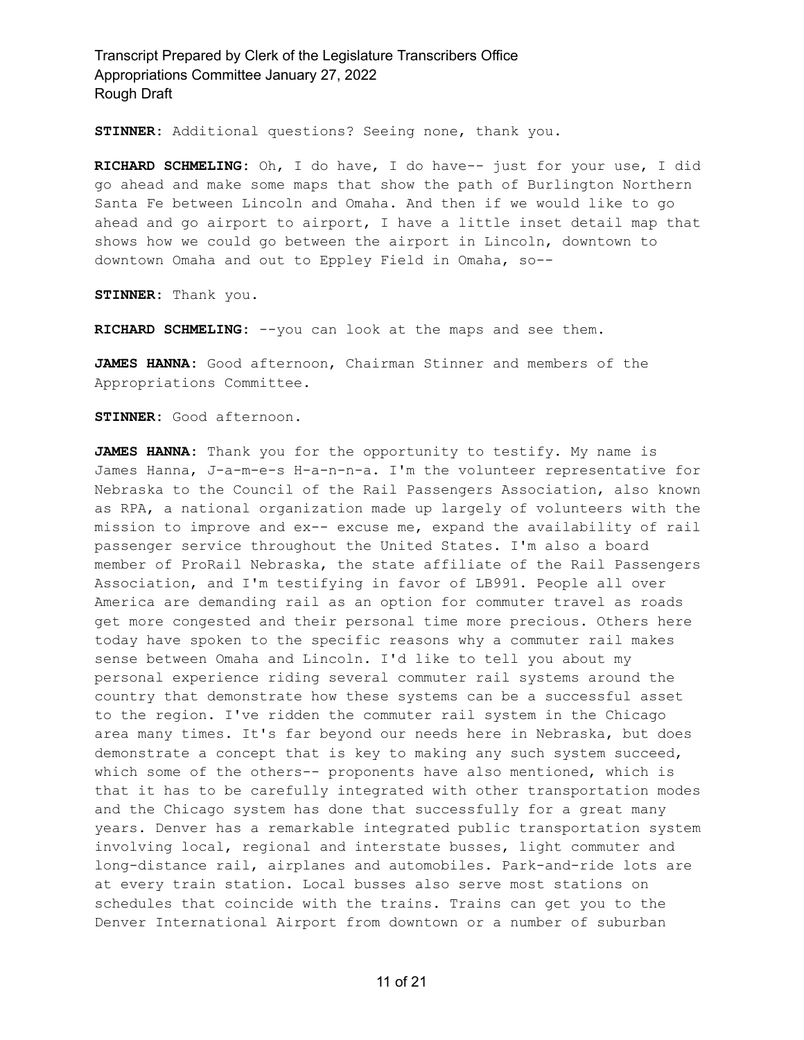**STINNER:** Additional questions? Seeing none, thank you.

**RICHARD SCHMELING:** Oh, I do have, I do have-- just for your use, I did go ahead and make some maps that show the path of Burlington Northern Santa Fe between Lincoln and Omaha. And then if we would like to go ahead and go airport to airport, I have a little inset detail map that shows how we could go between the airport in Lincoln, downtown to downtown Omaha and out to Eppley Field in Omaha, so--

**STINNER:** Thank you.

**RICHARD SCHMELING:** --you can look at the maps and see them.

**JAMES HANNA:** Good afternoon, Chairman Stinner and members of the Appropriations Committee.

**STINNER:** Good afternoon.

**JAMES HANNA:** Thank you for the opportunity to testify. My name is James Hanna, J-a-m-e-s H-a-n-n-a. I'm the volunteer representative for Nebraska to the Council of the Rail Passengers Association, also known as RPA, a national organization made up largely of volunteers with the mission to improve and ex-- excuse me, expand the availability of rail passenger service throughout the United States. I'm also a board member of ProRail Nebraska, the state affiliate of the Rail Passengers Association, and I'm testifying in favor of LB991. People all over America are demanding rail as an option for commuter travel as roads get more congested and their personal time more precious. Others here today have spoken to the specific reasons why a commuter rail makes sense between Omaha and Lincoln. I'd like to tell you about my personal experience riding several commuter rail systems around the country that demonstrate how these systems can be a successful asset to the region. I've ridden the commuter rail system in the Chicago area many times. It's far beyond our needs here in Nebraska, but does demonstrate a concept that is key to making any such system succeed, which some of the others-- proponents have also mentioned, which is that it has to be carefully integrated with other transportation modes and the Chicago system has done that successfully for a great many years. Denver has a remarkable integrated public transportation system involving local, regional and interstate busses, light commuter and long-distance rail, airplanes and automobiles. Park-and-ride lots are at every train station. Local busses also serve most stations on schedules that coincide with the trains. Trains can get you to the Denver International Airport from downtown or a number of suburban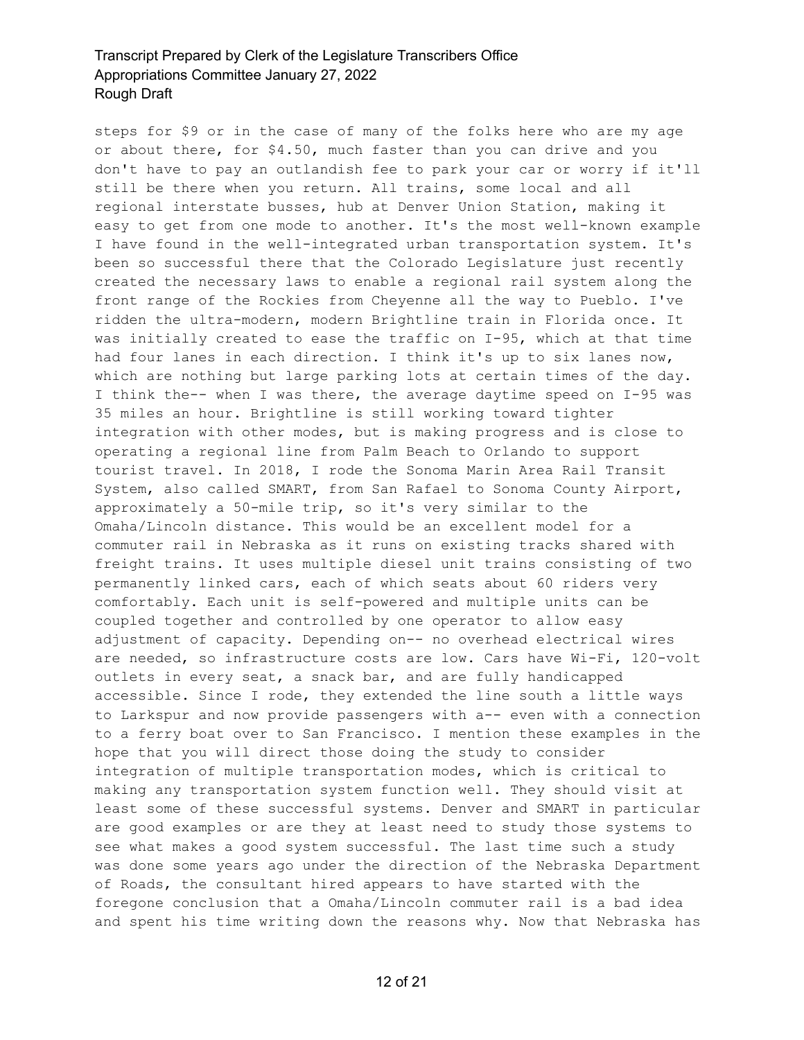steps for \$9 or in the case of many of the folks here who are my age or about there, for \$4.50, much faster than you can drive and you don't have to pay an outlandish fee to park your car or worry if it'll still be there when you return. All trains, some local and all regional interstate busses, hub at Denver Union Station, making it easy to get from one mode to another. It's the most well-known example I have found in the well-integrated urban transportation system. It's been so successful there that the Colorado Legislature just recently created the necessary laws to enable a regional rail system along the front range of the Rockies from Cheyenne all the way to Pueblo. I've ridden the ultra-modern, modern Brightline train in Florida once. It was initially created to ease the traffic on I-95, which at that time had four lanes in each direction. I think it's up to six lanes now, which are nothing but large parking lots at certain times of the day. I think the-- when I was there, the average daytime speed on I-95 was 35 miles an hour. Brightline is still working toward tighter integration with other modes, but is making progress and is close to operating a regional line from Palm Beach to Orlando to support tourist travel. In 2018, I rode the Sonoma Marin Area Rail Transit System, also called SMART, from San Rafael to Sonoma County Airport, approximately a 50-mile trip, so it's very similar to the Omaha/Lincoln distance. This would be an excellent model for a commuter rail in Nebraska as it runs on existing tracks shared with freight trains. It uses multiple diesel unit trains consisting of two permanently linked cars, each of which seats about 60 riders very comfortably. Each unit is self-powered and multiple units can be coupled together and controlled by one operator to allow easy adjustment of capacity. Depending on-- no overhead electrical wires are needed, so infrastructure costs are low. Cars have Wi-Fi, 120-volt outlets in every seat, a snack bar, and are fully handicapped accessible. Since I rode, they extended the line south a little ways to Larkspur and now provide passengers with a-- even with a connection to a ferry boat over to San Francisco. I mention these examples in the hope that you will direct those doing the study to consider integration of multiple transportation modes, which is critical to making any transportation system function well. They should visit at least some of these successful systems. Denver and SMART in particular are good examples or are they at least need to study those systems to see what makes a good system successful. The last time such a study was done some years ago under the direction of the Nebraska Department of Roads, the consultant hired appears to have started with the foregone conclusion that a Omaha/Lincoln commuter rail is a bad idea and spent his time writing down the reasons why. Now that Nebraska has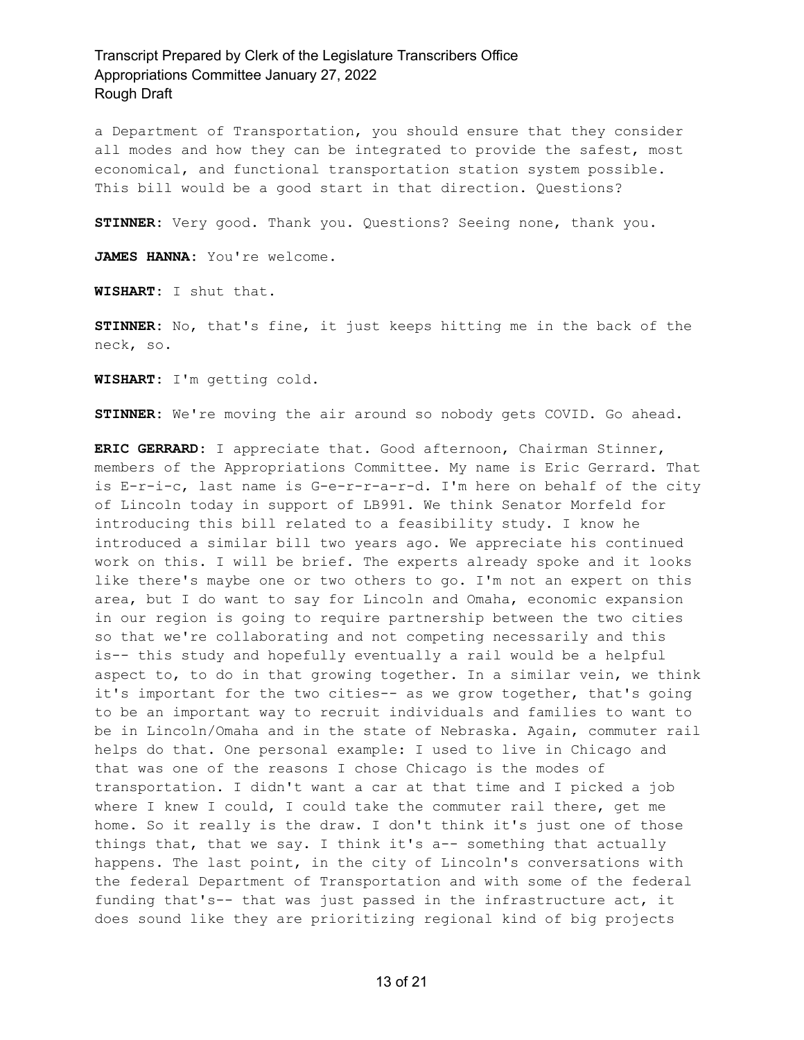a Department of Transportation, you should ensure that they consider all modes and how they can be integrated to provide the safest, most economical, and functional transportation station system possible. This bill would be a good start in that direction. Questions?

**STINNER:** Very good. Thank you. Questions? Seeing none, thank you.

JAMES HANNA: You're welcome.

**WISHART:** I shut that.

**STINNER:** No, that's fine, it just keeps hitting me in the back of the neck, so.

**WISHART:** I'm getting cold.

**STINNER:** We're moving the air around so nobody gets COVID. Go ahead.

**ERIC GERRARD:** I appreciate that. Good afternoon, Chairman Stinner, members of the Appropriations Committee. My name is Eric Gerrard. That is E-r-i-c, last name is G-e-r-r-a-r-d. I'm here on behalf of the city of Lincoln today in support of LB991. We think Senator Morfeld for introducing this bill related to a feasibility study. I know he introduced a similar bill two years ago. We appreciate his continued work on this. I will be brief. The experts already spoke and it looks like there's maybe one or two others to go. I'm not an expert on this area, but I do want to say for Lincoln and Omaha, economic expansion in our region is going to require partnership between the two cities so that we're collaborating and not competing necessarily and this is-- this study and hopefully eventually a rail would be a helpful aspect to, to do in that growing together. In a similar vein, we think it's important for the two cities-- as we grow together, that's going to be an important way to recruit individuals and families to want to be in Lincoln/Omaha and in the state of Nebraska. Again, commuter rail helps do that. One personal example: I used to live in Chicago and that was one of the reasons I chose Chicago is the modes of transportation. I didn't want a car at that time and I picked a job where I knew I could, I could take the commuter rail there, get me home. So it really is the draw. I don't think it's just one of those things that, that we say. I think it's a-- something that actually happens. The last point, in the city of Lincoln's conversations with the federal Department of Transportation and with some of the federal funding that's-- that was just passed in the infrastructure act, it does sound like they are prioritizing regional kind of big projects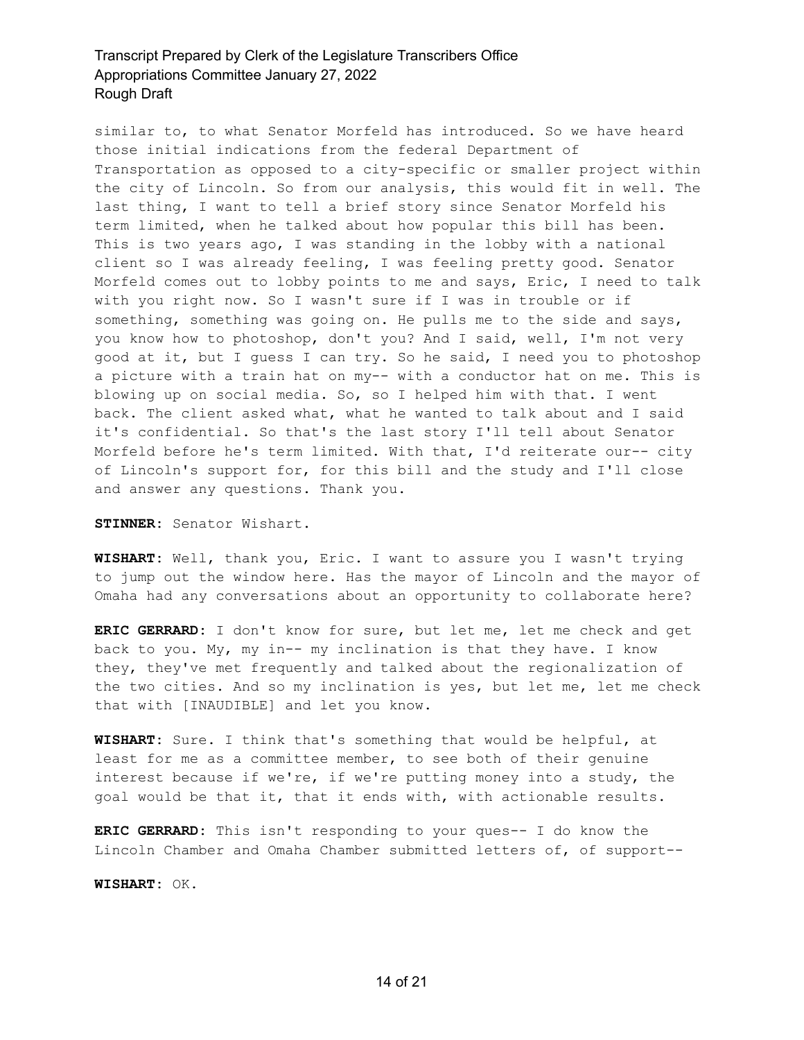similar to, to what Senator Morfeld has introduced. So we have heard those initial indications from the federal Department of Transportation as opposed to a city-specific or smaller project within the city of Lincoln. So from our analysis, this would fit in well. The last thing, I want to tell a brief story since Senator Morfeld his term limited, when he talked about how popular this bill has been. This is two years ago, I was standing in the lobby with a national client so I was already feeling, I was feeling pretty good. Senator Morfeld comes out to lobby points to me and says, Eric, I need to talk with you right now. So I wasn't sure if I was in trouble or if something, something was going on. He pulls me to the side and says, you know how to photoshop, don't you? And I said, well, I'm not very good at it, but I guess I can try. So he said, I need you to photoshop a picture with a train hat on my-- with a conductor hat on me. This is blowing up on social media. So, so I helped him with that. I went back. The client asked what, what he wanted to talk about and I said it's confidential. So that's the last story I'll tell about Senator Morfeld before he's term limited. With that, I'd reiterate our-- city of Lincoln's support for, for this bill and the study and I'll close and answer any questions. Thank you.

**STINNER:** Senator Wishart.

**WISHART:** Well, thank you, Eric. I want to assure you I wasn't trying to jump out the window here. Has the mayor of Lincoln and the mayor of Omaha had any conversations about an opportunity to collaborate here?

**ERIC GERRARD:** I don't know for sure, but let me, let me check and get back to you. My, my in-- my inclination is that they have. I know they, they've met frequently and talked about the regionalization of the two cities. And so my inclination is yes, but let me, let me check that with [INAUDIBLE] and let you know.

**WISHART:** Sure. I think that's something that would be helpful, at least for me as a committee member, to see both of their genuine interest because if we're, if we're putting money into a study, the goal would be that it, that it ends with, with actionable results.

**ERIC GERRARD:** This isn't responding to your ques-- I do know the Lincoln Chamber and Omaha Chamber submitted letters of, of support--

**WISHART:** OK.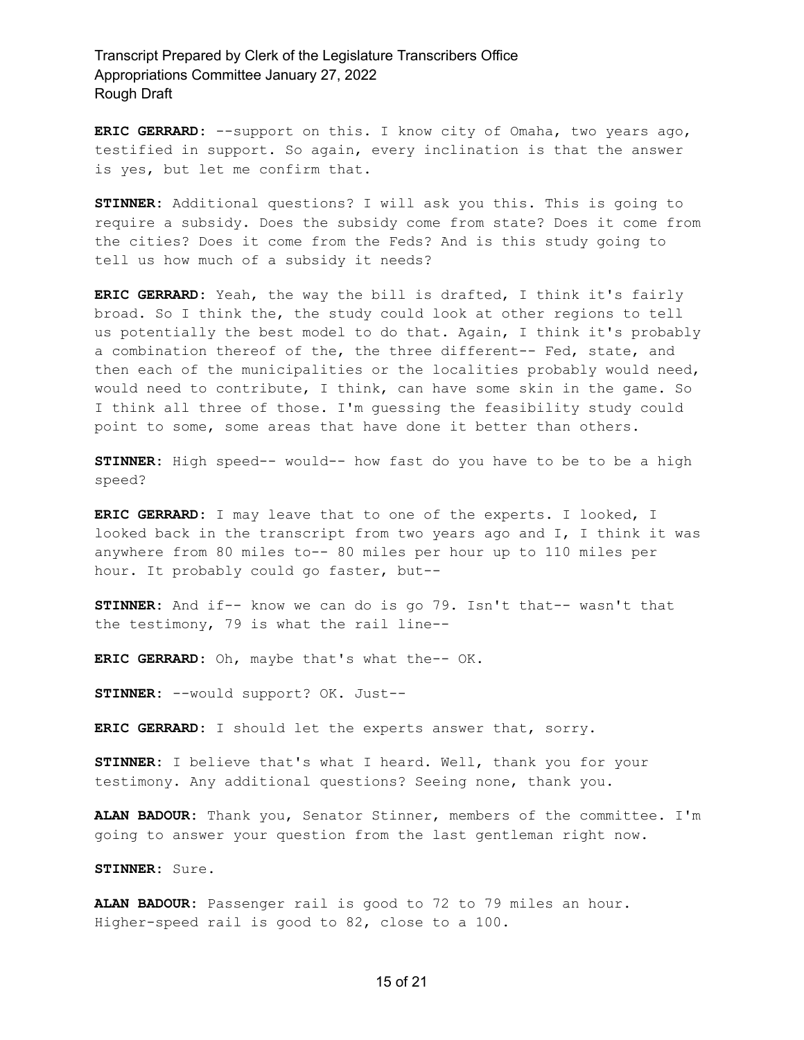**ERIC GERRARD:** --support on this. I know city of Omaha, two years ago, testified in support. So again, every inclination is that the answer is yes, but let me confirm that.

**STINNER:** Additional questions? I will ask you this. This is going to require a subsidy. Does the subsidy come from state? Does it come from the cities? Does it come from the Feds? And is this study going to tell us how much of a subsidy it needs?

**ERIC GERRARD:** Yeah, the way the bill is drafted, I think it's fairly broad. So I think the, the study could look at other regions to tell us potentially the best model to do that. Again, I think it's probably a combination thereof of the, the three different-- Fed, state, and then each of the municipalities or the localities probably would need, would need to contribute, I think, can have some skin in the game. So I think all three of those. I'm guessing the feasibility study could point to some, some areas that have done it better than others.

**STINNER:** High speed-- would-- how fast do you have to be to be a high speed?

**ERIC GERRARD:** I may leave that to one of the experts. I looked, I looked back in the transcript from two years ago and I, I think it was anywhere from 80 miles to-- 80 miles per hour up to 110 miles per hour. It probably could go faster, but--

**STINNER:** And if-- know we can do is go 79. Isn't that-- wasn't that the testimony, 79 is what the rail line--

**ERIC GERRARD:** Oh, maybe that's what the-- OK.

**STINNER:** --would support? OK. Just--

**ERIC GERRARD:** I should let the experts answer that, sorry.

**STINNER:** I believe that's what I heard. Well, thank you for your testimony. Any additional questions? Seeing none, thank you.

**ALAN BADOUR:** Thank you, Senator Stinner, members of the committee. I'm going to answer your question from the last gentleman right now.

**STINNER:** Sure.

**ALAN BADOUR:** Passenger rail is good to 72 to 79 miles an hour. Higher-speed rail is good to 82, close to a 100.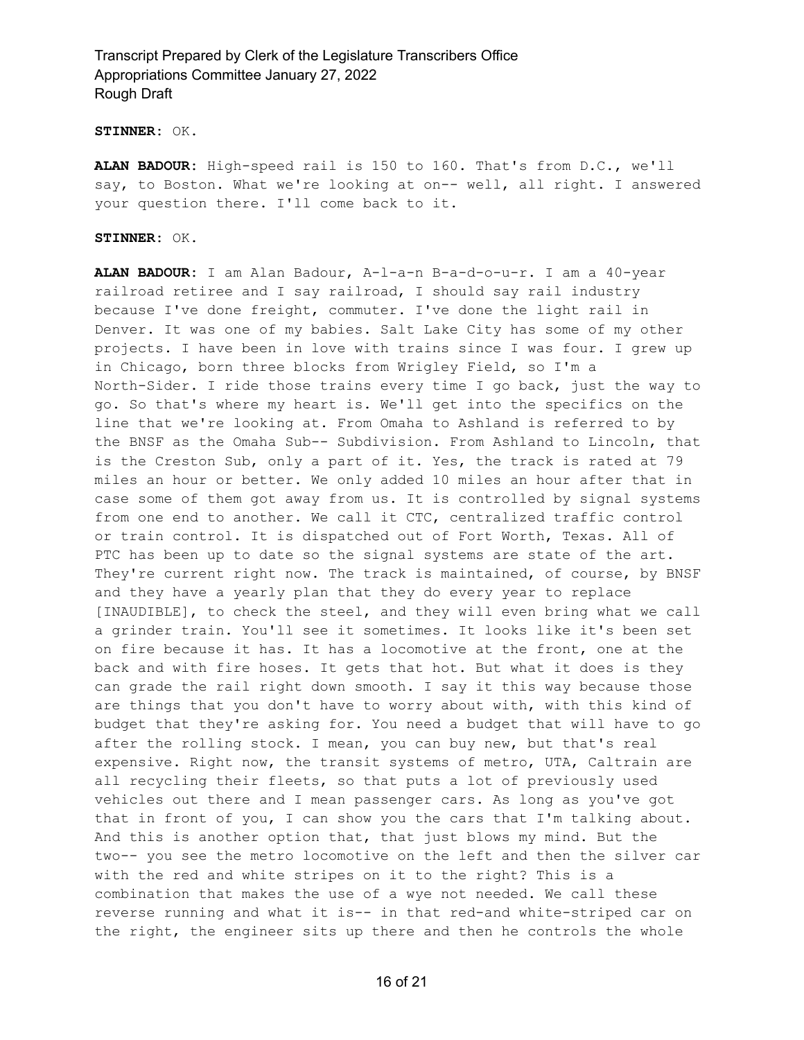#### **STINNER:** OK.

**ALAN BADOUR:** High-speed rail is 150 to 160. That's from D.C., we'll say, to Boston. What we're looking at on-- well, all right. I answered your question there. I'll come back to it.

#### **STINNER:** OK.

**ALAN BADOUR:** I am Alan Badour, A-l-a-n B-a-d-o-u-r. I am a 40-year railroad retiree and I say railroad, I should say rail industry because I've done freight, commuter. I've done the light rail in Denver. It was one of my babies. Salt Lake City has some of my other projects. I have been in love with trains since I was four. I grew up in Chicago, born three blocks from Wrigley Field, so I'm a North-Sider. I ride those trains every time I go back, just the way to go. So that's where my heart is. We'll get into the specifics on the line that we're looking at. From Omaha to Ashland is referred to by the BNSF as the Omaha Sub-- Subdivision. From Ashland to Lincoln, that is the Creston Sub, only a part of it. Yes, the track is rated at 79 miles an hour or better. We only added 10 miles an hour after that in case some of them got away from us. It is controlled by signal systems from one end to another. We call it CTC, centralized traffic control or train control. It is dispatched out of Fort Worth, Texas. All of PTC has been up to date so the signal systems are state of the art. They're current right now. The track is maintained, of course, by BNSF and they have a yearly plan that they do every year to replace [INAUDIBLE], to check the steel, and they will even bring what we call a grinder train. You'll see it sometimes. It looks like it's been set on fire because it has. It has a locomotive at the front, one at the back and with fire hoses. It gets that hot. But what it does is they can grade the rail right down smooth. I say it this way because those are things that you don't have to worry about with, with this kind of budget that they're asking for. You need a budget that will have to go after the rolling stock. I mean, you can buy new, but that's real expensive. Right now, the transit systems of metro, UTA, Caltrain are all recycling their fleets, so that puts a lot of previously used vehicles out there and I mean passenger cars. As long as you've got that in front of you, I can show you the cars that I'm talking about. And this is another option that, that just blows my mind. But the two-- you see the metro locomotive on the left and then the silver car with the red and white stripes on it to the right? This is a combination that makes the use of a wye not needed. We call these reverse running and what it is-- in that red-and white-striped car on the right, the engineer sits up there and then he controls the whole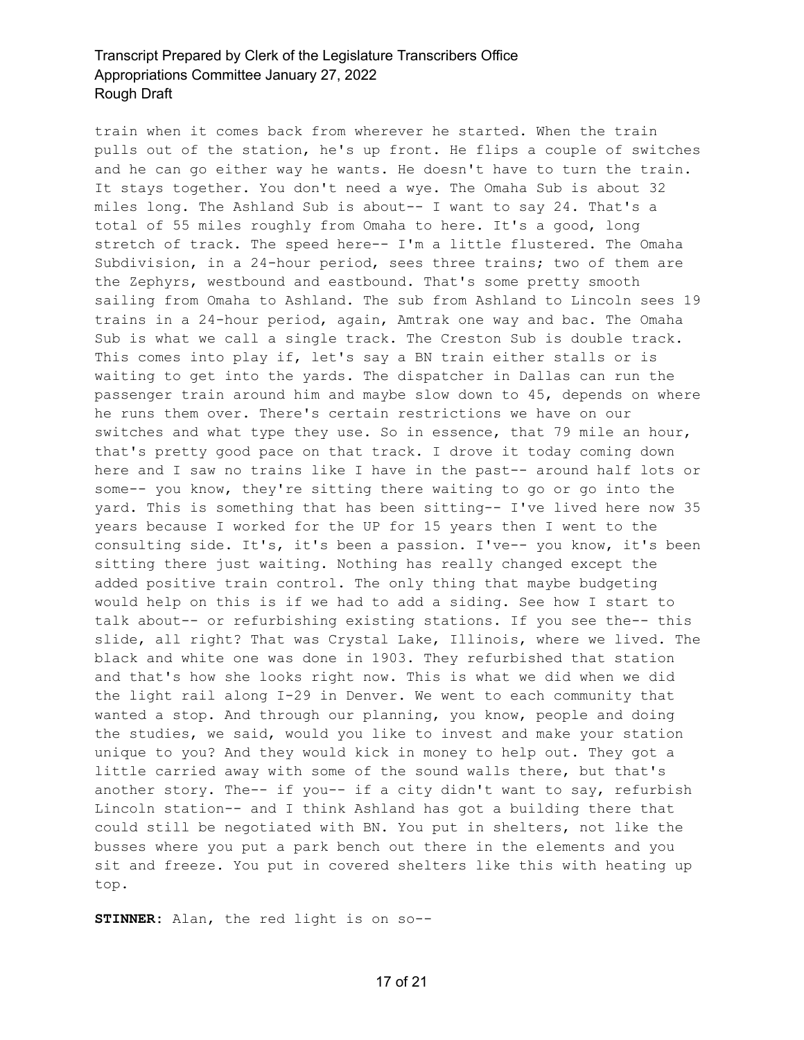train when it comes back from wherever he started. When the train pulls out of the station, he's up front. He flips a couple of switches and he can go either way he wants. He doesn't have to turn the train. It stays together. You don't need a wye. The Omaha Sub is about 32 miles long. The Ashland Sub is about-- I want to say 24. That's a total of 55 miles roughly from Omaha to here. It's a good, long stretch of track. The speed here-- I'm a little flustered. The Omaha Subdivision, in a 24-hour period, sees three trains; two of them are the Zephyrs, westbound and eastbound. That's some pretty smooth sailing from Omaha to Ashland. The sub from Ashland to Lincoln sees 19 trains in a 24-hour period, again, Amtrak one way and bac. The Omaha Sub is what we call a single track. The Creston Sub is double track. This comes into play if, let's say a BN train either stalls or is waiting to get into the yards. The dispatcher in Dallas can run the passenger train around him and maybe slow down to 45, depends on where he runs them over. There's certain restrictions we have on our switches and what type they use. So in essence, that 79 mile an hour, that's pretty good pace on that track. I drove it today coming down here and I saw no trains like I have in the past-- around half lots or some-- you know, they're sitting there waiting to go or go into the yard. This is something that has been sitting-- I've lived here now 35 years because I worked for the UP for 15 years then I went to the consulting side. It's, it's been a passion. I've-- you know, it's been sitting there just waiting. Nothing has really changed except the added positive train control. The only thing that maybe budgeting would help on this is if we had to add a siding. See how I start to talk about-- or refurbishing existing stations. If you see the-- this slide, all right? That was Crystal Lake, Illinois, where we lived. The black and white one was done in 1903. They refurbished that station and that's how she looks right now. This is what we did when we did the light rail along I-29 in Denver. We went to each community that wanted a stop. And through our planning, you know, people and doing the studies, we said, would you like to invest and make your station unique to you? And they would kick in money to help out. They got a little carried away with some of the sound walls there, but that's another story. The-- if you-- if a city didn't want to say, refurbish Lincoln station-- and I think Ashland has got a building there that could still be negotiated with BN. You put in shelters, not like the busses where you put a park bench out there in the elements and you sit and freeze. You put in covered shelters like this with heating up top.

**STINNER:** Alan, the red light is on so--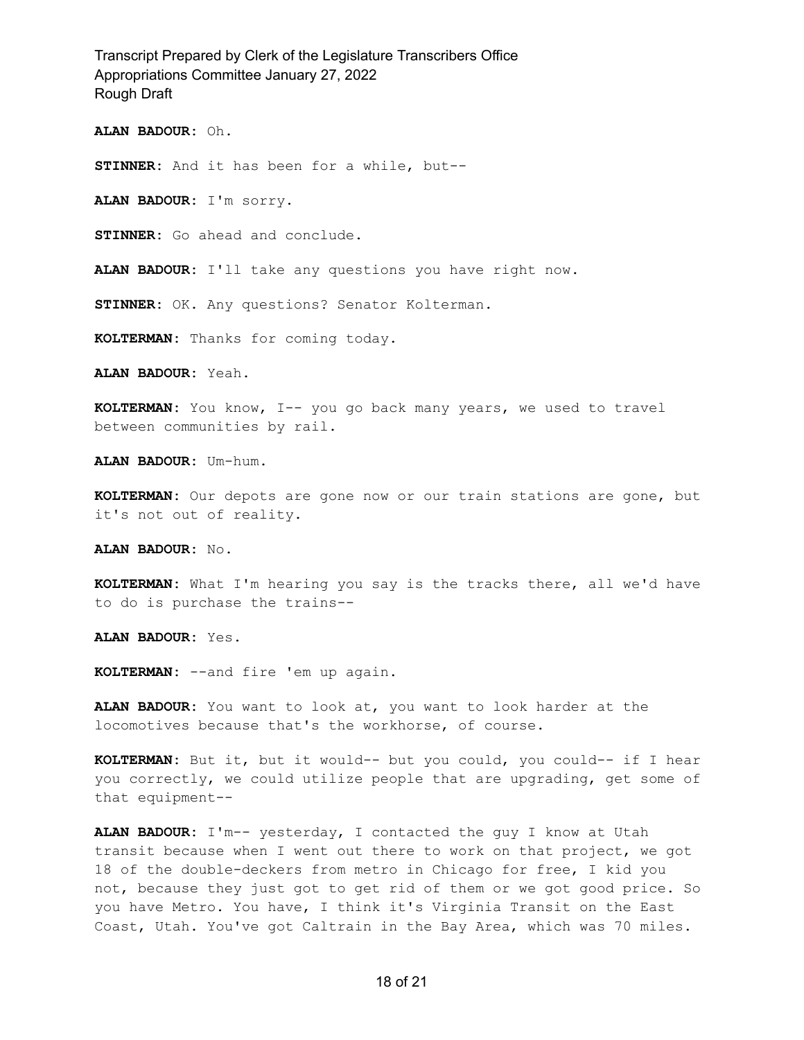**ALAN BADOUR:** Oh.

**STINNER:** And it has been for a while, but--

**ALAN BADOUR:** I'm sorry.

**STINNER:** Go ahead and conclude.

**ALAN BADOUR:** I'll take any questions you have right now.

**STINNER:** OK. Any questions? Senator Kolterman.

**KOLTERMAN:** Thanks for coming today.

**ALAN BADOUR:** Yeah.

**KOLTERMAN:** You know, I-- you go back many years, we used to travel between communities by rail.

**ALAN BADOUR:** Um-hum.

**KOLTERMAN:** Our depots are gone now or our train stations are gone, but it's not out of reality.

**ALAN BADOUR:** No.

**KOLTERMAN:** What I'm hearing you say is the tracks there, all we'd have to do is purchase the trains--

**ALAN BADOUR:** Yes.

**KOLTERMAN:** --and fire 'em up again.

**ALAN BADOUR:** You want to look at, you want to look harder at the locomotives because that's the workhorse, of course.

**KOLTERMAN:** But it, but it would-- but you could, you could-- if I hear you correctly, we could utilize people that are upgrading, get some of that equipment--

**ALAN BADOUR:** I'm-- yesterday, I contacted the guy I know at Utah transit because when I went out there to work on that project, we got 18 of the double-deckers from metro in Chicago for free, I kid you not, because they just got to get rid of them or we got good price. So you have Metro. You have, I think it's Virginia Transit on the East Coast, Utah. You've got Caltrain in the Bay Area, which was 70 miles.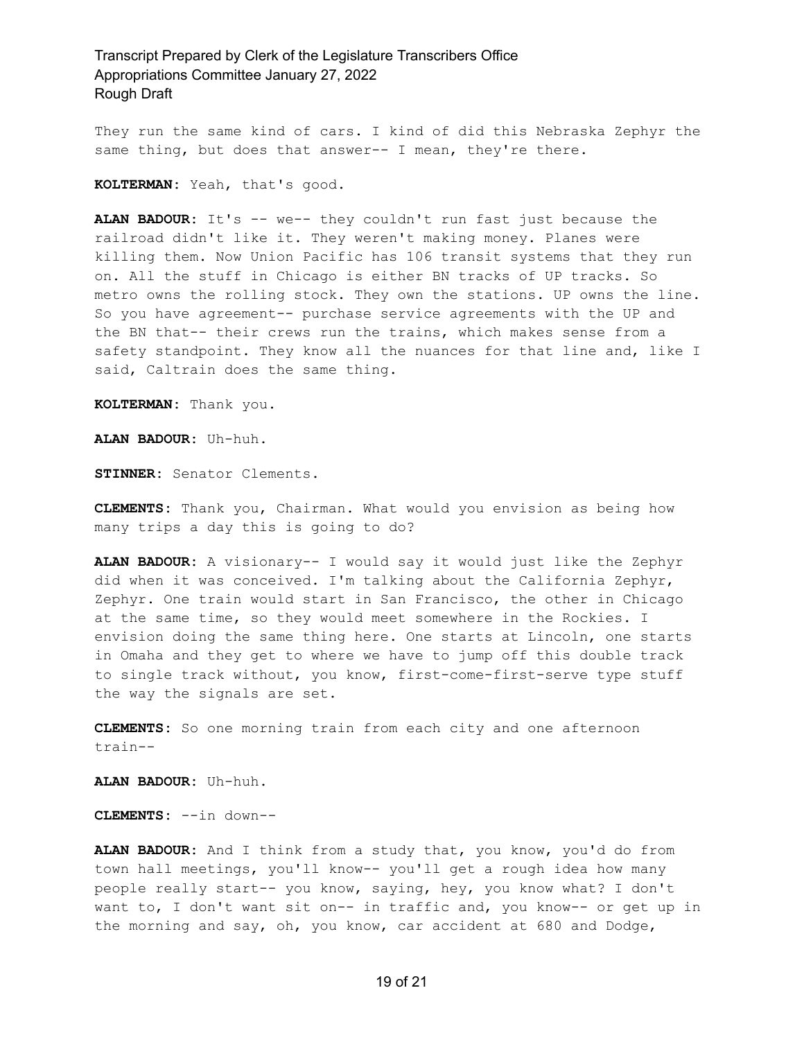They run the same kind of cars. I kind of did this Nebraska Zephyr the same thing, but does that answer-- I mean, they're there.

**KOLTERMAN:** Yeah, that's good.

**ALAN BADOUR:** It's -- we-- they couldn't run fast just because the railroad didn't like it. They weren't making money. Planes were killing them. Now Union Pacific has 106 transit systems that they run on. All the stuff in Chicago is either BN tracks of UP tracks. So metro owns the rolling stock. They own the stations. UP owns the line. So you have agreement-- purchase service agreements with the UP and the BN that-- their crews run the trains, which makes sense from a safety standpoint. They know all the nuances for that line and, like I said, Caltrain does the same thing.

**KOLTERMAN:** Thank you.

**ALAN BADOUR:** Uh-huh.

**STINNER:** Senator Clements.

**CLEMENTS:** Thank you, Chairman. What would you envision as being how many trips a day this is going to do?

**ALAN BADOUR:** A visionary-- I would say it would just like the Zephyr did when it was conceived. I'm talking about the California Zephyr, Zephyr. One train would start in San Francisco, the other in Chicago at the same time, so they would meet somewhere in the Rockies. I envision doing the same thing here. One starts at Lincoln, one starts in Omaha and they get to where we have to jump off this double track to single track without, you know, first-come-first-serve type stuff the way the signals are set.

**CLEMENTS:** So one morning train from each city and one afternoon train--

**ALAN BADOUR:** Uh-huh.

**CLEMENTS:** --in down--

**ALAN BADOUR:** And I think from a study that, you know, you'd do from town hall meetings, you'll know-- you'll get a rough idea how many people really start-- you know, saying, hey, you know what? I don't want to, I don't want sit on-- in traffic and, you know-- or get up in the morning and say, oh, you know, car accident at 680 and Dodge,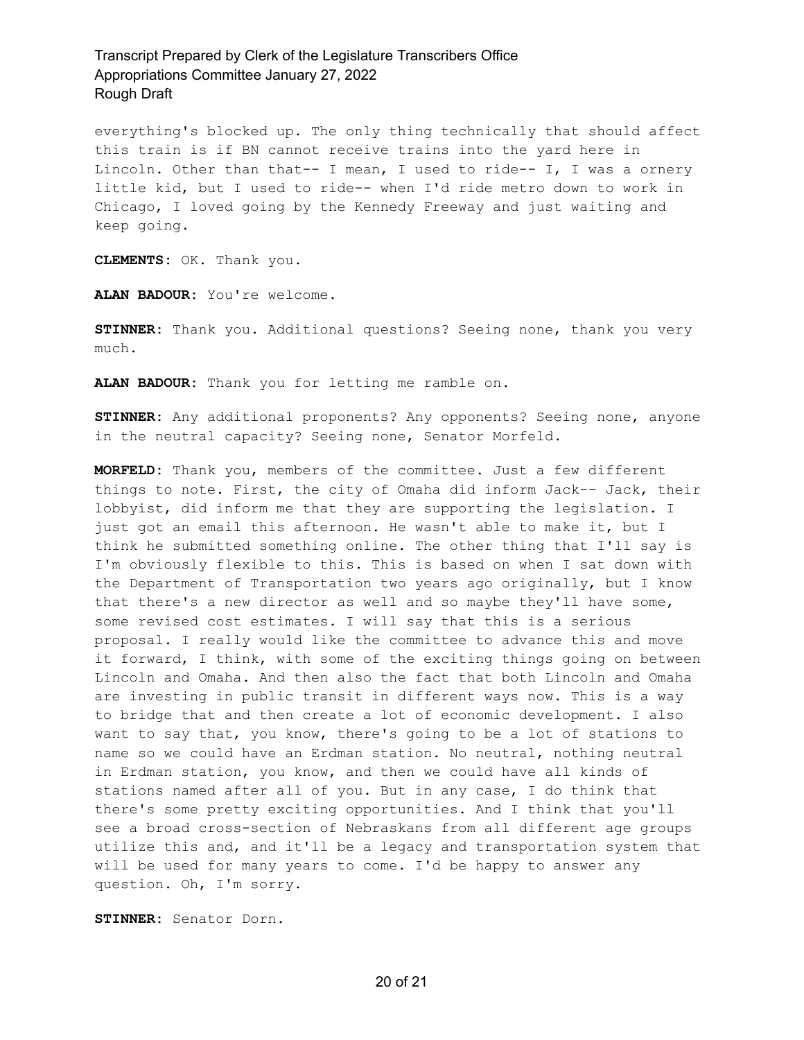everything's blocked up. The only thing technically that should affect this train is if BN cannot receive trains into the yard here in Lincoln. Other than that-- I mean, I used to ride-- I, I was a ornery little kid, but I used to ride-- when I'd ride metro down to work in Chicago, I loved going by the Kennedy Freeway and just waiting and keep going.

**CLEMENTS:** OK. Thank you.

**ALAN BADOUR:** You're welcome.

**STINNER:** Thank you. Additional questions? Seeing none, thank you very much.

**ALAN BADOUR:** Thank you for letting me ramble on.

**STINNER:** Any additional proponents? Any opponents? Seeing none, anyone in the neutral capacity? Seeing none, Senator Morfeld.

**MORFELD:** Thank you, members of the committee. Just a few different things to note. First, the city of Omaha did inform Jack-- Jack, their lobbyist, did inform me that they are supporting the legislation. I just got an email this afternoon. He wasn't able to make it, but I think he submitted something online. The other thing that I'll say is I'm obviously flexible to this. This is based on when I sat down with the Department of Transportation two years ago originally, but I know that there's a new director as well and so maybe they'll have some, some revised cost estimates. I will say that this is a serious proposal. I really would like the committee to advance this and move it forward, I think, with some of the exciting things going on between Lincoln and Omaha. And then also the fact that both Lincoln and Omaha are investing in public transit in different ways now. This is a way to bridge that and then create a lot of economic development. I also want to say that, you know, there's going to be a lot of stations to name so we could have an Erdman station. No neutral, nothing neutral in Erdman station, you know, and then we could have all kinds of stations named after all of you. But in any case, I do think that there's some pretty exciting opportunities. And I think that you'll see a broad cross-section of Nebraskans from all different age groups utilize this and, and it'll be a legacy and transportation system that will be used for many years to come. I'd be happy to answer any question. Oh, I'm sorry.

**STINNER:** Senator Dorn.